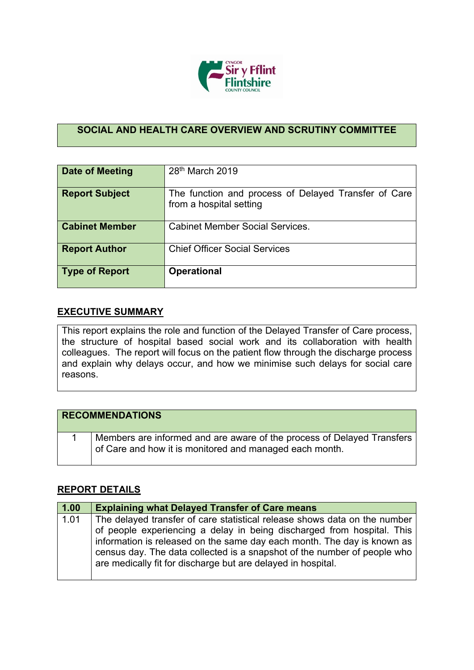

## **SOCIAL AND HEALTH CARE OVERVIEW AND SCRUTINY COMMITTEE**

| Date of Meeting       | 28 <sup>th</sup> March 2019                                                     |
|-----------------------|---------------------------------------------------------------------------------|
| <b>Report Subject</b> | The function and process of Delayed Transfer of Care<br>from a hospital setting |
| <b>Cabinet Member</b> | Cabinet Member Social Services.                                                 |
| <b>Report Author</b>  | <b>Chief Officer Social Services</b>                                            |
| Type of Report        | <b>Operational</b>                                                              |

## **EXECUTIVE SUMMARY**

This report explains the role and function of the Delayed Transfer of Care process, the structure of hospital based social work and its collaboration with health colleagues. The report will focus on the patient flow through the discharge process and explain why delays occur, and how we minimise such delays for social care reasons.

| <b>RECOMMENDATIONS</b>                                                 |
|------------------------------------------------------------------------|
| Members are informed and are aware of the process of Delayed Transfers |
| of Care and how it is monitored and managed each month.                |

## **REPORT DETAILS**

| 1.00 | <b>Explaining what Delayed Transfer of Care means</b>                                                                                                                                                                                                                                                                                                                      |
|------|----------------------------------------------------------------------------------------------------------------------------------------------------------------------------------------------------------------------------------------------------------------------------------------------------------------------------------------------------------------------------|
| 1.01 | The delayed transfer of care statistical release shows data on the number<br>of people experiencing a delay in being discharged from hospital. This<br>information is released on the same day each month. The day is known as<br>census day. The data collected is a snapshot of the number of people who<br>are medically fit for discharge but are delayed in hospital. |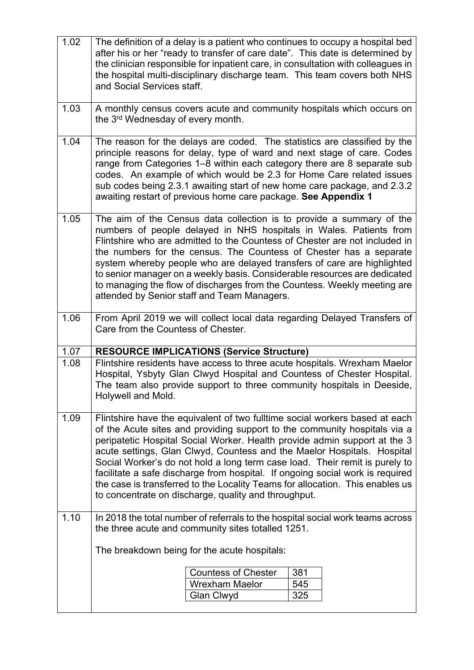| The definition of a delay is a patient who continues to occupy a hospital bed<br>after his or her "ready to transfer of care date". This date is determined by<br>the clinician responsible for inpatient care, in consultation with colleagues in<br>the hospital multi-disciplinary discharge team. This team covers both NHS<br>and Social Services staff.                                                                                                                                                                                                                                                             |  |  |
|---------------------------------------------------------------------------------------------------------------------------------------------------------------------------------------------------------------------------------------------------------------------------------------------------------------------------------------------------------------------------------------------------------------------------------------------------------------------------------------------------------------------------------------------------------------------------------------------------------------------------|--|--|
| A monthly census covers acute and community hospitals which occurs on<br>the 3rd Wednesday of every month.                                                                                                                                                                                                                                                                                                                                                                                                                                                                                                                |  |  |
| The reason for the delays are coded. The statistics are classified by the<br>principle reasons for delay, type of ward and next stage of care. Codes<br>range from Categories 1-8 within each category there are 8 separate sub<br>codes. An example of which would be 2.3 for Home Care related issues<br>sub codes being 2.3.1 awaiting start of new home care package, and 2.3.2<br>awaiting restart of previous home care package. See Appendix 1                                                                                                                                                                     |  |  |
| The aim of the Census data collection is to provide a summary of the<br>numbers of people delayed in NHS hospitals in Wales. Patients from<br>Flintshire who are admitted to the Countess of Chester are not included in<br>the numbers for the census. The Countess of Chester has a separate<br>system whereby people who are delayed transfers of care are highlighted<br>to senior manager on a weekly basis. Considerable resources are dedicated<br>to managing the flow of discharges from the Countess. Weekly meeting are<br>attended by Senior staff and Team Managers.                                         |  |  |
| From April 2019 we will collect local data regarding Delayed Transfers of<br>Care from the Countess of Chester.                                                                                                                                                                                                                                                                                                                                                                                                                                                                                                           |  |  |
| <b>RESOURCE IMPLICATIONS (Service Structure)</b>                                                                                                                                                                                                                                                                                                                                                                                                                                                                                                                                                                          |  |  |
| Flintshire residents have access to three acute hospitals. Wrexham Maelor<br>Hospital, Ysbyty Glan Clwyd Hospital and Countess of Chester Hospital.<br>The team also provide support to three community hospitals in Deeside,<br>Holywell and Mold.                                                                                                                                                                                                                                                                                                                                                                       |  |  |
| Flintshire have the equivalent of two fulltime social workers based at each<br>of the Acute sites and providing support to the community hospitals via a<br>peripatetic Hospital Social Worker. Health provide admin support at the 3<br>acute settings, Glan Clwyd, Countess and the Maelor Hospitals. Hospital<br>Social Worker's do not hold a long term case load. Their remit is purely to<br>facilitate a safe discharge from hospital. If ongoing social work is required<br>the case is transferred to the Locality Teams for allocation. This enables us<br>to concentrate on discharge, quality and throughput. |  |  |
| In 2018 the total number of referrals to the hospital social work teams across<br>the three acute and community sites totalled 1251.                                                                                                                                                                                                                                                                                                                                                                                                                                                                                      |  |  |
| The breakdown being for the acute hospitals:                                                                                                                                                                                                                                                                                                                                                                                                                                                                                                                                                                              |  |  |
| <b>Countess of Chester</b><br>381                                                                                                                                                                                                                                                                                                                                                                                                                                                                                                                                                                                         |  |  |
| <b>Wrexham Maelor</b><br>545                                                                                                                                                                                                                                                                                                                                                                                                                                                                                                                                                                                              |  |  |
| 325<br>Glan Clwyd                                                                                                                                                                                                                                                                                                                                                                                                                                                                                                                                                                                                         |  |  |
|                                                                                                                                                                                                                                                                                                                                                                                                                                                                                                                                                                                                                           |  |  |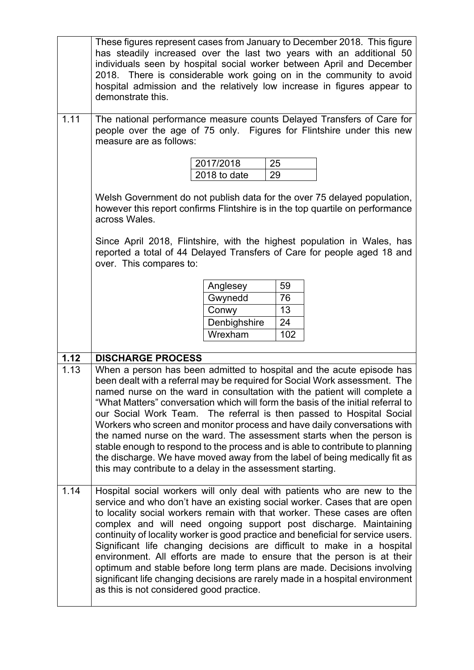|      | These figures represent cases from January to December 2018. This figure<br>has steadily increased over the last two years with an additional 50<br>individuals seen by hospital social worker between April and December<br>2018. There is considerable work going on in the community to avoid<br>hospital admission and the relatively low increase in figures appear to<br>demonstrate this.                                                                                                                                                                                                                                                                                                                                                         |                           |          |  |  |  |
|------|----------------------------------------------------------------------------------------------------------------------------------------------------------------------------------------------------------------------------------------------------------------------------------------------------------------------------------------------------------------------------------------------------------------------------------------------------------------------------------------------------------------------------------------------------------------------------------------------------------------------------------------------------------------------------------------------------------------------------------------------------------|---------------------------|----------|--|--|--|
| 1.11 | The national performance measure counts Delayed Transfers of Care for<br>people over the age of 75 only. Figures for Flintshire under this new<br>measure are as follows:                                                                                                                                                                                                                                                                                                                                                                                                                                                                                                                                                                                |                           |          |  |  |  |
|      |                                                                                                                                                                                                                                                                                                                                                                                                                                                                                                                                                                                                                                                                                                                                                          | 2017/2018<br>2018 to date | 25<br>29 |  |  |  |
|      | Welsh Government do not publish data for the over 75 delayed population,<br>however this report confirms Flintshire is in the top quartile on performance<br>across Wales.                                                                                                                                                                                                                                                                                                                                                                                                                                                                                                                                                                               |                           |          |  |  |  |
|      | Since April 2018, Flintshire, with the highest population in Wales, has<br>reported a total of 44 Delayed Transfers of Care for people aged 18 and<br>over. This compares to:                                                                                                                                                                                                                                                                                                                                                                                                                                                                                                                                                                            |                           |          |  |  |  |
|      |                                                                                                                                                                                                                                                                                                                                                                                                                                                                                                                                                                                                                                                                                                                                                          | Anglesey                  | 59       |  |  |  |
|      |                                                                                                                                                                                                                                                                                                                                                                                                                                                                                                                                                                                                                                                                                                                                                          | Gwynedd                   | 76       |  |  |  |
|      |                                                                                                                                                                                                                                                                                                                                                                                                                                                                                                                                                                                                                                                                                                                                                          | Conwy                     | 13       |  |  |  |
|      |                                                                                                                                                                                                                                                                                                                                                                                                                                                                                                                                                                                                                                                                                                                                                          | Denbighshire              | 24       |  |  |  |
|      |                                                                                                                                                                                                                                                                                                                                                                                                                                                                                                                                                                                                                                                                                                                                                          | Wrexham                   | 102      |  |  |  |
| 1.12 | <b>DISCHARGE PROCESS</b>                                                                                                                                                                                                                                                                                                                                                                                                                                                                                                                                                                                                                                                                                                                                 |                           |          |  |  |  |
| 1.13 | When a person has been admitted to hospital and the acute episode has<br>been dealt with a referral may be required for Social Work assessment. The<br>named nurse on the ward in consultation with the patient will complete a<br>"What Matters" conversation which will form the basis of the initial referral to                                                                                                                                                                                                                                                                                                                                                                                                                                      |                           |          |  |  |  |
|      | our Social Work Team. The referral is then passed to Hospital Social<br>Workers who screen and monitor process and have daily conversations with<br>the named nurse on the ward. The assessment starts when the person is<br>stable enough to respond to the process and is able to contribute to planning<br>the discharge. We have moved away from the label of being medically fit as<br>this may contribute to a delay in the assessment starting.                                                                                                                                                                                                                                                                                                   |                           |          |  |  |  |
| 1.14 | Hospital social workers will only deal with patients who are new to the<br>service and who don't have an existing social worker. Cases that are open<br>to locality social workers remain with that worker. These cases are often<br>complex and will need ongoing support post discharge. Maintaining<br>continuity of locality worker is good practice and beneficial for service users.<br>Significant life changing decisions are difficult to make in a hospital<br>environment. All efforts are made to ensure that the person is at their<br>optimum and stable before long term plans are made. Decisions involving<br>significant life changing decisions are rarely made in a hospital environment<br>as this is not considered good practice. |                           |          |  |  |  |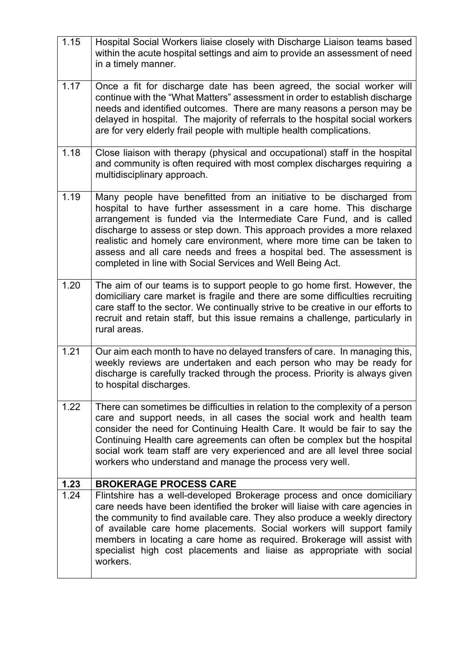| 1.15 | Hospital Social Workers liaise closely with Discharge Liaison teams based<br>within the acute hospital settings and aim to provide an assessment of need<br>in a timely manner.                                                                                                                                                                                                                                                                                                                               |
|------|---------------------------------------------------------------------------------------------------------------------------------------------------------------------------------------------------------------------------------------------------------------------------------------------------------------------------------------------------------------------------------------------------------------------------------------------------------------------------------------------------------------|
| 1.17 | Once a fit for discharge date has been agreed, the social worker will<br>continue with the "What Matters" assessment in order to establish discharge<br>needs and identified outcomes. There are many reasons a person may be<br>delayed in hospital. The majority of referrals to the hospital social workers<br>are for very elderly frail people with multiple health complications.                                                                                                                       |
| 1.18 | Close liaison with therapy (physical and occupational) staff in the hospital<br>and community is often required with most complex discharges requiring a<br>multidisciplinary approach.                                                                                                                                                                                                                                                                                                                       |
| 1.19 | Many people have benefitted from an initiative to be discharged from<br>hospital to have further assessment in a care home. This discharge<br>arrangement is funded via the Intermediate Care Fund, and is called<br>discharge to assess or step down. This approach provides a more relaxed<br>realistic and homely care environment, where more time can be taken to<br>assess and all care needs and frees a hospital bed. The assessment is<br>completed in line with Social Services and Well Being Act. |
| 1.20 | The aim of our teams is to support people to go home first. However, the<br>domiciliary care market is fragile and there are some difficulties recruiting<br>care staff to the sector. We continually strive to be creative in our efforts to<br>recruit and retain staff, but this issue remains a challenge, particularly in<br>rural areas.                                                                                                                                                                |
| 1.21 | Our aim each month to have no delayed transfers of care. In managing this,<br>weekly reviews are undertaken and each person who may be ready for<br>discharge is carefully tracked through the process. Priority is always given<br>to hospital discharges.                                                                                                                                                                                                                                                   |
| 1.22 | There can sometimes be difficulties in relation to the complexity of a person<br>care and support needs, in all cases the social work and health team<br>consider the need for Continuing Health Care. It would be fair to say the<br>Continuing Health care agreements can often be complex but the hospital<br>social work team staff are very experienced and are all level three social<br>workers who understand and manage the process very well.                                                       |
| 1.23 | <b>BROKERAGE PROCESS CARE</b>                                                                                                                                                                                                                                                                                                                                                                                                                                                                                 |
| 1.24 | Flintshire has a well-developed Brokerage process and once domiciliary<br>care needs have been identified the broker will liaise with care agencies in<br>the community to find available care. They also produce a weekly directory<br>of available care home placements. Social workers will support family<br>members in locating a care home as required. Brokerage will assist with<br>specialist high cost placements and liaise as appropriate with social<br>workers.                                 |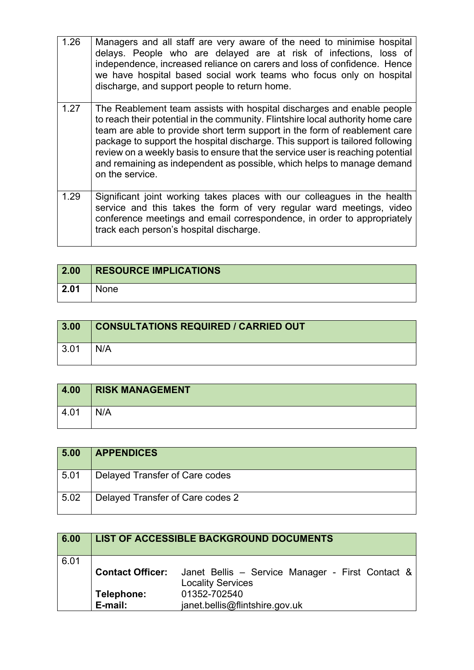| 1.26 | Managers and all staff are very aware of the need to minimise hospital<br>delays. People who are delayed are at risk of infections, loss of<br>independence, increased reliance on carers and loss of confidence. Hence<br>we have hospital based social work teams who focus only on hospital<br>discharge, and support people to return home.                                                                                                                                                         |
|------|---------------------------------------------------------------------------------------------------------------------------------------------------------------------------------------------------------------------------------------------------------------------------------------------------------------------------------------------------------------------------------------------------------------------------------------------------------------------------------------------------------|
| 1.27 | The Reablement team assists with hospital discharges and enable people<br>to reach their potential in the community. Flintshire local authority home care<br>team are able to provide short term support in the form of reablement care<br>package to support the hospital discharge. This support is tailored following<br>review on a weekly basis to ensure that the service user is reaching potential<br>and remaining as independent as possible, which helps to manage demand<br>on the service. |
| 1.29 | Significant joint working takes places with our colleagues in the health<br>service and this takes the form of very regular ward meetings, video<br>conference meetings and email correspondence, in order to appropriately<br>track each person's hospital discharge.                                                                                                                                                                                                                                  |

| $\vert$ 2.00 | <b>RESOURCE IMPLICATIONS</b> |
|--------------|------------------------------|
| $\vert$ 2.01 | <b>None</b>                  |

| 3.00         | <b>CONSULTATIONS REQUIRED / CARRIED OUT</b> |
|--------------|---------------------------------------------|
| $\vert$ 3.01 | N/A                                         |

| 4.00 | <b>RISK MANAGEMENT</b> |
|------|------------------------|
| 4.01 | N/A                    |

| 5.00 | <b>APPENDICES</b>                |
|------|----------------------------------|
| 5.01 | Delayed Transfer of Care codes   |
| 5.02 | Delayed Transfer of Care codes 2 |

| 6.00 | <b>LIST OF ACCESSIBLE BACKGROUND DOCUMENTS</b> |                                                  |  |
|------|------------------------------------------------|--------------------------------------------------|--|
| 6.01 |                                                |                                                  |  |
|      | <b>Contact Officer:</b>                        | Janet Bellis – Service Manager - First Contact & |  |
|      |                                                | <b>Locality Services</b>                         |  |
|      | Telephone:                                     | 01352-702540                                     |  |
|      | E-mail:                                        | janet.bellis@flintshire.gov.uk                   |  |